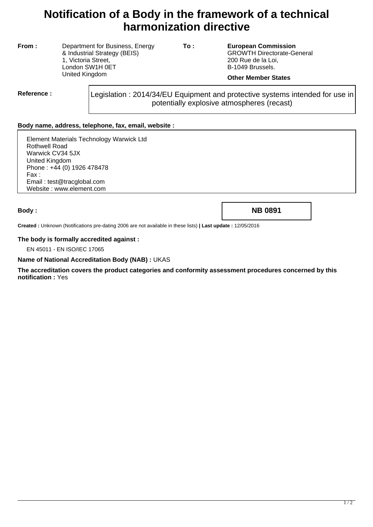# **Notification of a Body in the framework of a technical harmonization directive**

**From :** Department for Business, Energy & Industrial Strategy (BEIS) 1, Victoria Street, London SW1H 0ET United Kingdom

**To : European Commission** GROWTH Directorate-General 200 Rue de la Loi, B-1049 Brussels.

### **Other Member States**

**Reference :** Legislation : 2014/34/EU Equipment and protective systems intended for use in potentially explosive atmospheres (recast)

## **Body name, address, telephone, fax, email, website :**

Element Materials Technology Warwick Ltd Rothwell Road Warwick CV34 5JX United Kingdom Phone : +44 (0) 1926 478478 Fax : Email : test@tracglobal.com Website : www.element.com

**Body : NB 0891**

**Created :** Unknown (Notifications pre-dating 2006 are not available in these lists) **| Last update :** 12/05/2016

#### **The body is formally accredited against :**

EN 45011 - EN ISO/IEC 17065

#### **Name of National Accreditation Body (NAB) :** UKAS

**The accreditation covers the product categories and conformity assessment procedures concerned by this notification :** Yes